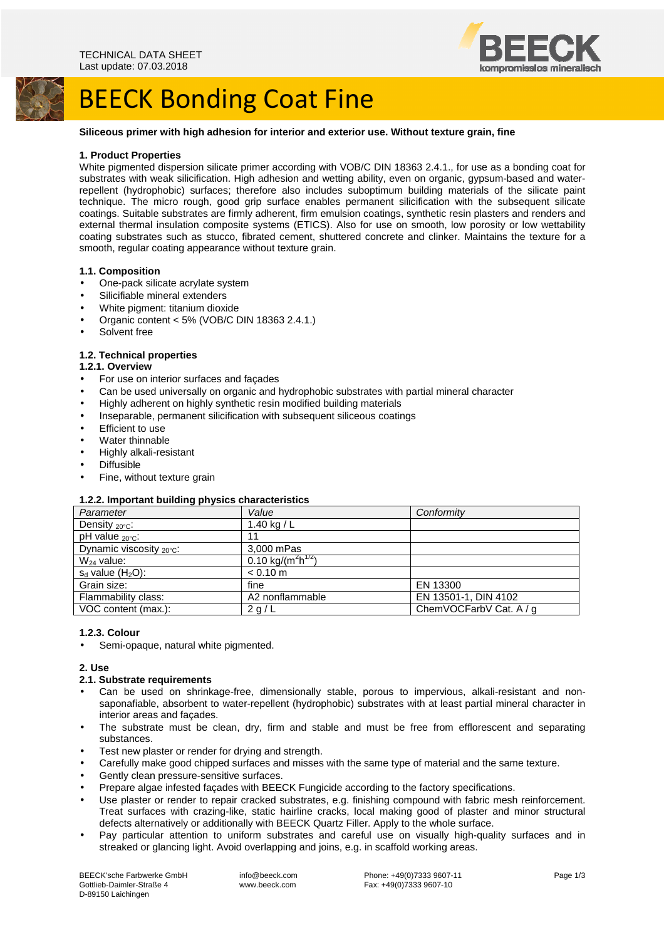

## BEECK Bonding Coat Fine

#### **Siliceous primer with high adhesion for interior and exterior use. Without texture grain, fine**

#### **1. Product Properties**

White pigmented dispersion silicate primer according with VOB/C DIN 18363 2.4.1., for use as a bonding coat for substrates with weak silicification. High adhesion and wetting ability, even on organic, gypsum-based and waterrepellent (hydrophobic) surfaces; therefore also includes suboptimum building materials of the silicate paint technique. The micro rough, good grip surface enables permanent silicification with the subsequent silicate coatings. Suitable substrates are firmly adherent, firm emulsion coatings, synthetic resin plasters and renders and external thermal insulation composite systems (ETICS). Also for use on smooth, low porosity or low wettability coating substrates such as stucco, fibrated cement, shuttered concrete and clinker. Maintains the texture for a smooth, regular coating appearance without texture grain.

#### **1.1. Composition**

- One-pack silicate acrylate system
- Silicifiable mineral extenders
- White pigment: titanium dioxide
- Organic content < 5% (VOB/C DIN 18363 2.4.1.)
- Solvent free

### **1.2. Technical properties**

#### **1.2.1. Overview**

- For use on interior surfaces and façades
- Can be used universally on organic and hydrophobic substrates with partial mineral character
- Highly adherent on highly synthetic resin modified building materials
- Inseparable, permanent silicification with subsequent siliceous coatings
- **Efficient to use**
- Water thinnable
- Highly alkali-resistant
- Diffusible
- Fine, without texture grain

#### **1.2.2. Important building physics characteristics**

| . .<br>Parameter                     | Value                                      | Conformity              |
|--------------------------------------|--------------------------------------------|-------------------------|
| Density $_{20^{\circ}$ C:            | 1.40 kg / $L$                              |                         |
| $pH$ value $_{20^{\circ}C}$ :        | 11                                         |                         |
| Dynamic viscosity $_{20^{\circ}C}$ : | 3,000 mPas                                 |                         |
| $W_{24}$ value:                      | 0.10 kg/(m <sup>2</sup> h <sup>1/2</sup> ) |                         |
| $s_d$ value (H <sub>2</sub> O):      | $< 0.10$ m                                 |                         |
| Grain size:                          | fine                                       | EN 13300                |
| Flammability class:                  | A2 nonflammable                            | EN 13501-1, DIN 4102    |
| VOC content (max.):                  | 2 g/L                                      | ChemVOCFarbV Cat. A / g |

#### **1.2.3. Colour**

Semi-opaque, natural white pigmented.

#### **2. Use**

#### **2.1. Substrate requirements**

- Can be used on shrinkage-free, dimensionally stable, porous to impervious, alkali-resistant and nonsaponafiable, absorbent to water-repellent (hydrophobic) substrates with at least partial mineral character in interior areas and façades.
- The substrate must be clean, dry, firm and stable and must be free from efflorescent and separating substances.
- Test new plaster or render for drying and strength.
- Carefully make good chipped surfaces and misses with the same type of material and the same texture.
- Gently clean pressure-sensitive surfaces.
- Prepare algae infested façades with BEECK Fungicide according to the factory specifications.
- Use plaster or render to repair cracked substrates, e.g. finishing compound with fabric mesh reinforcement. Treat surfaces with crazing-like, static hairline cracks, local making good of plaster and minor structural defects alternatively or additionally with BEECK Quartz Filler. Apply to the whole surface.
- Pay particular attention to uniform substrates and careful use on visually high-quality surfaces and in streaked or glancing light. Avoid overlapping and joins, e.g. in scaffold working areas.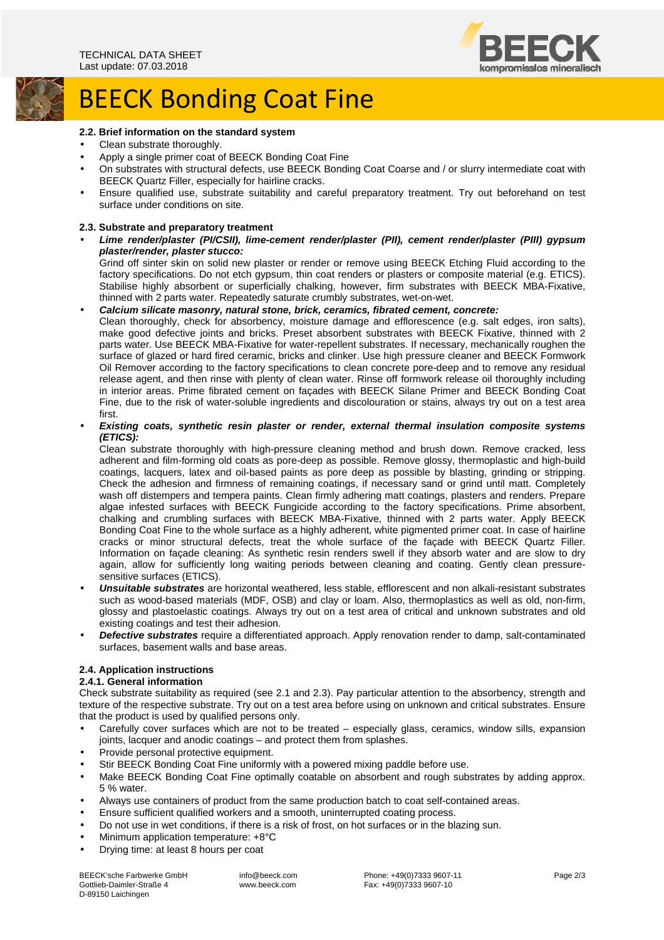

# **BEECK Bonding Coat Fine**

#### **2.2. Brief information on the standard system**

- Clean substrate thoroughly.
- Apply a single primer coat of BEECK Bonding Coat Fine
- On substrates with structural defects, use BEECK Bonding Coat Coarse and / or slurry intermediate coat with BEECK Quartz Filler, especially for hairline cracks.
- Ensure qualified use, substrate suitability and careful preparatory treatment. Try out beforehand on test surface under conditions on site.

#### **2.3. Substrate and preparatory treatment**

• **Lime render/plaster (PI/CSII), lime-cement render/plaster (PII), cement render/plaster (PIII) gypsum plaster/render, plaster stucco:** 

Grind off sinter skin on solid new plaster or render or remove using BEECK Etching Fluid according to the factory specifications. Do not etch gypsum, thin coat renders or plasters or composite material (e.g. ETICS). Stabilise highly absorbent or superficially chalking, however, firm substrates with BEECK MBA-Fixative, thinned with 2 parts water. Repeatedly saturate crumbly substrates, wet-on-wet.

#### • **Calcium silicate masonry, natural stone, brick, ceramics, fibrated cement, concrete:**

Clean thoroughly, check for absorbency, moisture damage and efflorescence (e.g. salt edges, iron salts), make good defective joints and bricks. Preset absorbent substrates with BEECK Fixative, thinned with 2 parts water. Use BEECK MBA-Fixative for water-repellent substrates. If necessary, mechanically roughen the surface of glazed or hard fired ceramic, bricks and clinker. Use high pressure cleaner and BEECK Formwork Oil Remover according to the factory specifications to clean concrete pore-deep and to remove any residual release agent, and then rinse with plenty of clean water. Rinse off formwork release oil thoroughly including in interior areas. Prime fibrated cement on façades with BEECK Silane Primer and BEECK Bonding Coat Fine, due to the risk of water-soluble ingredients and discolouration or stains, always try out on a test area first.

• **Existing coats, synthetic resin plaster or render, external thermal insulation composite systems (ETICS):** 

Clean substrate thoroughly with high-pressure cleaning method and brush down. Remove cracked, less adherent and film-forming old coats as pore-deep as possible. Remove glossy, thermoplastic and high-build coatings, lacquers, latex and oil-based paints as pore deep as possible by blasting, grinding or stripping. Check the adhesion and firmness of remaining coatings, if necessary sand or grind until matt. Completely wash off distempers and tempera paints. Clean firmly adhering matt coatings, plasters and renders. Prepare algae infested surfaces with BEECK Fungicide according to the factory specifications. Prime absorbent, chalking and crumbling surfaces with BEECK MBA-Fixative, thinned with 2 parts water. Apply BEECK Bonding Coat Fine to the whole surface as a highly adherent, white pigmented primer coat. In case of hairline cracks or minor structural defects, treat the whole surface of the façade with BEECK Quartz Filler. Information on façade cleaning: As synthetic resin renders swell if they absorb water and are slow to dry again, allow for sufficiently long waiting periods between cleaning and coating. Gently clean pressuresensitive surfaces (ETICS).

- **Unsuitable substrates** are horizontal weathered, less stable, efflorescent and non alkali-resistant substrates such as wood-based materials (MDF, OSB) and clay or loam. Also, thermoplastics as well as old, non-firm, glossy and plastoelastic coatings. Always try out on a test area of critical and unknown substrates and old existing coatings and test their adhesion.
- **Defective substrates** require a differentiated approach. Apply renovation render to damp, salt-contaminated surfaces, basement walls and base areas.

#### **2.4. Application instructions**

#### **2.4.1. General information**

Check substrate suitability as required (see 2.1 and 2.3). Pay particular attention to the absorbency, strength and texture of the respective substrate. Try out on a test area before using on unknown and critical substrates. Ensure that the product is used by qualified persons only.

- Carefully cover surfaces which are not to be treated especially glass, ceramics, window sills, expansion joints, lacquer and anodic coatings – and protect them from splashes.
- Provide personal protective equipment.
- Stir BEECK Bonding Coat Fine uniformly with a powered mixing paddle before use.
- Make BEECK Bonding Coat Fine optimally coatable on absorbent and rough substrates by adding approx. 5 % water.
- Always use containers of product from the same production batch to coat self-contained areas.
- Ensure sufficient qualified workers and a smooth, uninterrupted coating process.
- Do not use in wet conditions, if there is a risk of frost, on hot surfaces or in the blazing sun.
- Minimum application temperature: +8°C
- Drying time: at least 8 hours per coat

BEECK'sche Farbwerke GmbH Gottlieb-Daimler-Straße 4 D-89150 Laichingen

 info@beeck.com www.beeck.com

 Phone: +49(0)7333 9607-11 Fax: +49(0)7333 9607-10

Page 2/3